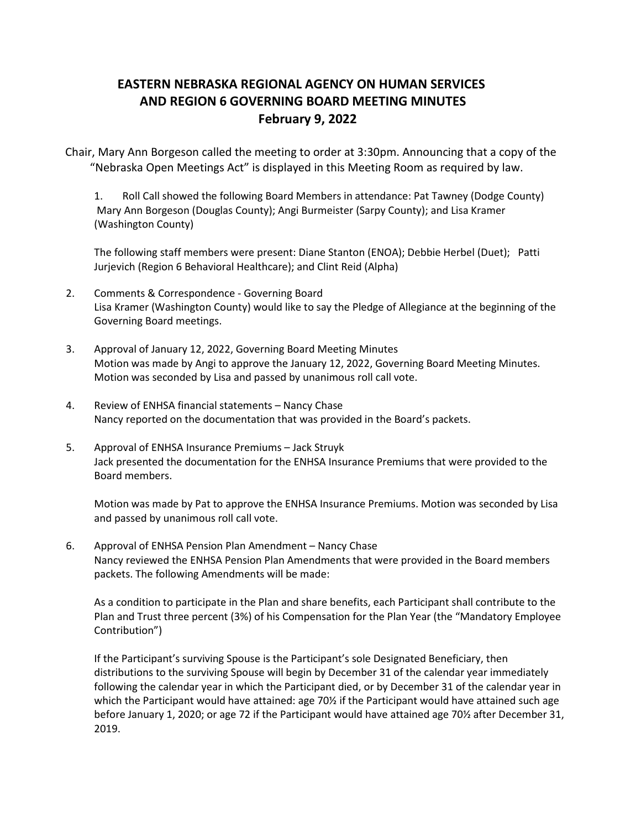# **EASTERN NEBRASKA REGIONAL AGENCY ON HUMAN SERVICES   AND REGION 6 GOVERNING BOARD MEETING MINUTES  February 9, 2022**

Chair, Mary Ann Borgeson called the meeting to order at 3:30pm. Announcing that a copy of the "Nebraska Open Meetings Act" is displayed in this Meeting Room as required by law. 

1. Roll Call showed the following Board Members in attendance: Pat Tawney (Dodge County)  Mary Ann Borgeson (Douglas County); Angi Burmeister (Sarpy County); and Lisa Kramer (Washington County) 

The following staff members were present: Diane Stanton (ENOA); Debbie Herbel (Duet); Patti Jurjevich (Region 6 Behavioral Healthcare); and Clint Reid (Alpha)

- 2. Comments & Correspondence Governing Board Lisa Kramer (Washington County) would like to say the Pledge of Allegiance at the beginning of the Governing Board meetings.
- 3. Approval of January 12, 2022, Governing Board Meeting Minutes Motion was made by Angi to approve the January 12, 2022, Governing Board Meeting Minutes. Motion was seconded by Lisa and passed by unanimous roll call vote.
- 4. Review of ENHSA financial statements Nancy Chase Nancy reported on the documentation that was provided in the Board's packets.
- 5. Approval of ENHSA Insurance Premiums Jack Struyk Jack presented the documentation for the ENHSA Insurance Premiums that were provided to the Board members.

Motion was made by Pat to approve the ENHSA Insurance Premiums. Motion was seconded by Lisa and passed by unanimous roll call vote.

6. Approval of ENHSA Pension Plan Amendment – Nancy Chase Nancy reviewed the ENHSA Pension Plan Amendments that were provided in the Board members packets. The following Amendments will be made:

As a condition to participate in the Plan and share benefits, each Participant shall contribute to the Plan and Trust three percent (3%) of his Compensation for the Plan Year (the "Mandatory Employee Contribution")

If the Participant's surviving Spouse is the Participant's sole Designated Beneficiary, then distributions to the surviving Spouse will begin by December 31 of the calendar year immediately following the calendar year in which the Participant died, or by December 31 of the calendar year in which the Participant would have attained: age 70% if the Participant would have attained such age before January 1, 2020; or age 72 if the Participant would have attained age 70½ after December 31, 2019.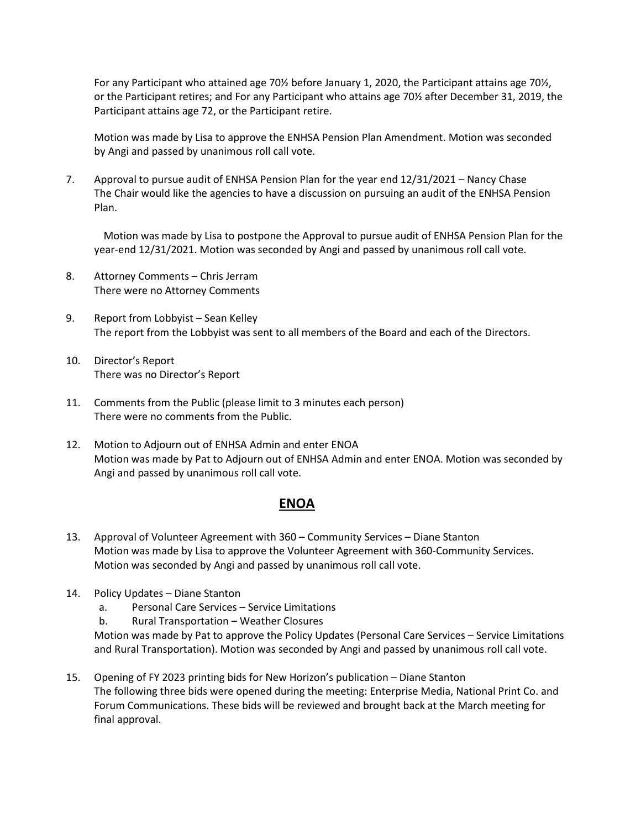For any Participant who attained age 70½ before January 1, 2020, the Participant attains age 70½, or the Participant retires; and For any Participant who attains age 70½ after December 31, 2019, the Participant attains age 72, or the Participant retire.

Motion was made by Lisa to approve the ENHSA Pension Plan Amendment. Motion was seconded by Angi and passed by unanimous roll call vote.

7. Approval to pursue audit of ENHSA Pension Plan for the year end 12/31/2021 – Nancy Chase The Chair would like the agencies to have a discussion on pursuing an audit of the ENHSA Pension Plan.

Motion was made by Lisa to postpone the Approval to pursue audit of ENHSA Pension Plan for the year-end 12/31/2021. Motion was seconded by Angi and passed by unanimous roll call vote.

- 8. Attorney Comments Chris Jerram There were no Attorney Comments
- 9. Report from Lobbyist Sean Kelley The report from the Lobbyist was sent to all members of the Board and each of the Directors.
- 10. Director's Report There was no Director's Report
- 11. Comments from the Public (please limit to 3 minutes each person) There were no comments from the Public.
- 12. Motion to Adjourn out of ENHSA Admin and enter ENOA Motion was made by Pat to Adjourn out of ENHSA Admin and enter ENOA. Motion was seconded by Angi and passed by unanimous roll call vote.

## **ENOA**

- 13. Approval of Volunteer Agreement with 360 Community Services Diane Stanton Motion was made by Lisa to approve the Volunteer Agreement with 360-Community Services. Motion was seconded by Angi and passed by unanimous roll call vote.
- 14. Policy Updates Diane Stanton
	- a. Personal Care Services Service Limitations
	- b. Rural Transportation Weather Closures

Motion was made by Pat to approve the Policy Updates (Personal Care Services – Service Limitations and Rural Transportation). Motion was seconded by Angi and passed by unanimous roll call vote.

15. Opening of FY 2023 printing bids for New Horizon's publication – Diane Stanton The following three bids were opened during the meeting: Enterprise Media, National Print Co. and Forum Communications. These bids will be reviewed and brought back at the March meeting for final approval.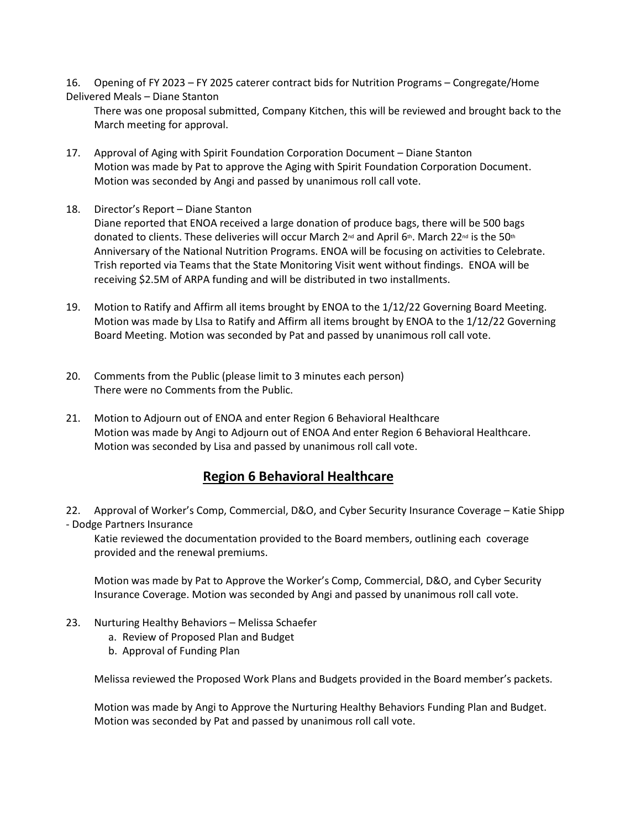16. Opening of FY 2023 – FY 2025 caterer contract bids for Nutrition Programs – Congregate/Home Delivered Meals – Diane Stanton

There was one proposal submitted, Company Kitchen, this will be reviewed and brought back to the March meeting for approval.

- 17. Approval of Aging with Spirit Foundation Corporation Document Diane Stanton Motion was made by Pat to approve the Aging with Spirit Foundation Corporation Document. Motion was seconded by Angi and passed by unanimous roll call vote.
- 18. Director's Report Diane Stanton

Diane reported that ENOA received a large donation of produce bags, there will be 500 bags donated to clients. These deliveries will occur March 2<sup>nd</sup> and April 6<sup>th</sup>. March 22<sup>nd</sup> is the 50<sup>th</sup> Anniversary of the National Nutrition Programs. ENOA will be focusing on activities to Celebrate. Trish reported via Teams that the State Monitoring Visit went without findings. ENOA will be receiving \$2.5M of ARPA funding and will be distributed in two installments.

- 19. Motion to Ratify and Affirm all items brought by ENOA to the 1/12/22 Governing Board Meeting. Motion was made by LIsa to Ratify and Affirm all items brought by ENOA to the 1/12/22 Governing Board Meeting. Motion was seconded by Pat and passed by unanimous roll call vote.
- 20. Comments from the Public (please limit to 3 minutes each person) There were no Comments from the Public.
- 21. Motion to Adjourn out of ENOA and enter Region 6 Behavioral Healthcare Motion was made by Angi to Adjourn out of ENOA And enter Region 6 Behavioral Healthcare. Motion was seconded by Lisa and passed by unanimous roll call vote.

## **Region 6 Behavioral Healthcare**

22. Approval of Worker's Comp, Commercial, D&O, and Cyber Security Insurance Coverage – Katie Shipp - Dodge Partners Insurance

Katie reviewed the documentation provided to the Board members, outlining each coverage provided and the renewal premiums.

Motion was made by Pat to Approve the Worker's Comp, Commercial, D&O, and Cyber Security Insurance Coverage. Motion was seconded by Angi and passed by unanimous roll call vote.

- 23. Nurturing Healthy Behaviors Melissa Schaefer
	- a. Review of Proposed Plan and Budget
	- b. Approval of Funding Plan

Melissa reviewed the Proposed Work Plans and Budgets provided in the Board member's packets.

Motion was made by Angi to Approve the Nurturing Healthy Behaviors Funding Plan and Budget. Motion was seconded by Pat and passed by unanimous roll call vote.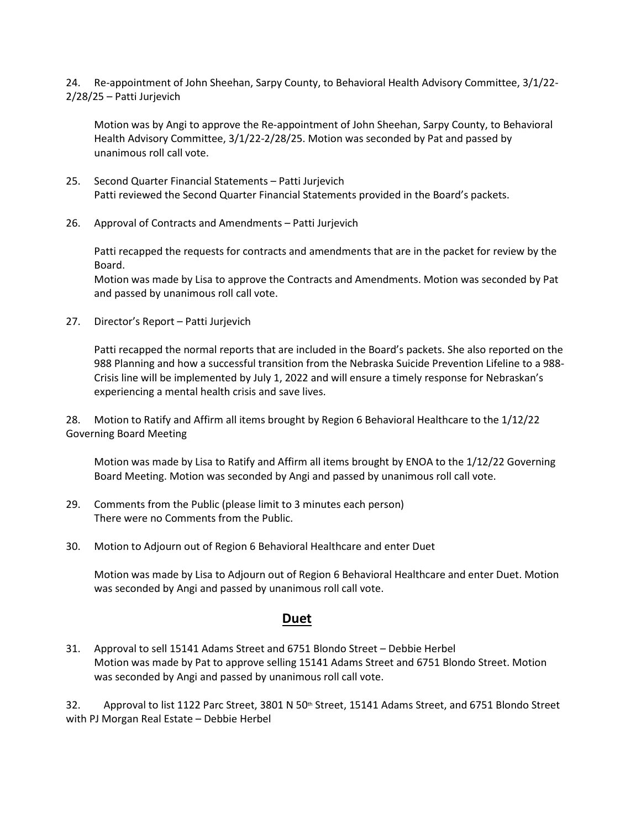24. Re-appointment of John Sheehan, Sarpy County, to Behavioral Health Advisory Committee, 3/1/22- 2/28/25 – Patti Jurjevich

Motion was by Angi to approve the Re-appointment of John Sheehan, Sarpy County, to Behavioral Health Advisory Committee, 3/1/22-2/28/25. Motion was seconded by Pat and passed by unanimous roll call vote.

- 25. Second Quarter Financial Statements Patti Jurjevich Patti reviewed the Second Quarter Financial Statements provided in the Board's packets.
- 26. Approval of Contracts and Amendments Patti Jurjevich

Patti recapped the requests for contracts and amendments that are in the packet for review by the Board.

Motion was made by Lisa to approve the Contracts and Amendments. Motion was seconded by Pat and passed by unanimous roll call vote.

27. Director's Report – Patti Jurjevich

Patti recapped the normal reports that are included in the Board's packets. She also reported on the 988 Planning and how a successful transition from the Nebraska Suicide Prevention Lifeline to a 988- Crisis line will be implemented by July 1, 2022 and will ensure a timely response for Nebraskan's experiencing a mental health crisis and save lives.

28. Motion to Ratify and Affirm all items brought by Region 6 Behavioral Healthcare to the 1/12/22 Governing Board Meeting

Motion was made by Lisa to Ratify and Affirm all items brought by ENOA to the 1/12/22 Governing Board Meeting. Motion was seconded by Angi and passed by unanimous roll call vote.

- 29. Comments from the Public (please limit to 3 minutes each person) There were no Comments from the Public.
- 30. Motion to Adjourn out of Region 6 Behavioral Healthcare and enter Duet

Motion was made by Lisa to Adjourn out of Region 6 Behavioral Healthcare and enter Duet. Motion was seconded by Angi and passed by unanimous roll call vote.

#### **Duet**

31. Approval to sell 15141 Adams Street and 6751 Blondo Street – Debbie Herbel Motion was made by Pat to approve selling 15141 Adams Street and 6751 Blondo Street. Motion was seconded by Angi and passed by unanimous roll call vote.

32. Approval to list 1122 Parc Street, 3801 N 50<sup>th</sup> Street, 15141 Adams Street, and 6751 Blondo Street with PJ Morgan Real Estate – Debbie Herbel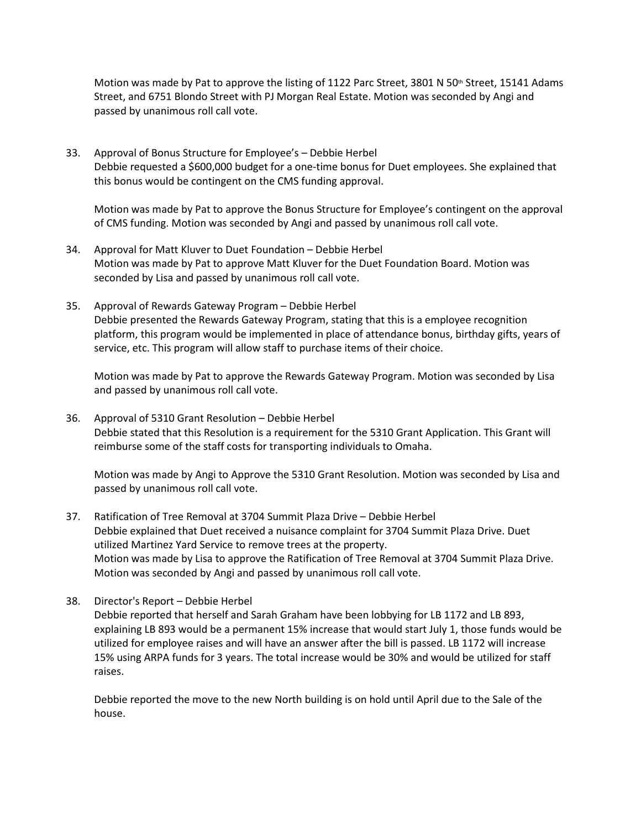Motion was made by Pat to approve the listing of 1122 Parc Street, 3801 N 50<sup>th</sup> Street, 15141 Adams Street, and 6751 Blondo Street with PJ Morgan Real Estate. Motion was seconded by Angi and passed by unanimous roll call vote.

33. Approval of Bonus Structure for Employee's – Debbie Herbel Debbie requested a \$600,000 budget for a one-time bonus for Duet employees. She explained that this bonus would be contingent on the CMS funding approval.

Motion was made by Pat to approve the Bonus Structure for Employee's contingent on the approval of CMS funding. Motion was seconded by Angi and passed by unanimous roll call vote.

- 34. Approval for Matt Kluver to Duet Foundation Debbie Herbel Motion was made by Pat to approve Matt Kluver for the Duet Foundation Board. Motion was seconded by Lisa and passed by unanimous roll call vote.
- 35. Approval of Rewards Gateway Program Debbie Herbel Debbie presented the Rewards Gateway Program, stating that this is a employee recognition platform, this program would be implemented in place of attendance bonus, birthday gifts, years of service, etc. This program will allow staff to purchase items of their choice.

Motion was made by Pat to approve the Rewards Gateway Program. Motion was seconded by Lisa and passed by unanimous roll call vote.

36. Approval of 5310 Grant Resolution – Debbie Herbel Debbie stated that this Resolution is a requirement for the 5310 Grant Application. This Grant will reimburse some of the staff costs for transporting individuals to Omaha.

Motion was made by Angi to Approve the 5310 Grant Resolution. Motion was seconded by Lisa and passed by unanimous roll call vote.

- 37. Ratification of Tree Removal at 3704 Summit Plaza Drive Debbie Herbel Debbie explained that Duet received a nuisance complaint for 3704 Summit Plaza Drive. Duet utilized Martinez Yard Service to remove trees at the property. Motion was made by Lisa to approve the Ratification of Tree Removal at 3704 Summit Plaza Drive. Motion was seconded by Angi and passed by unanimous roll call vote.
- 38. Director's Report Debbie Herbel Debbie reported that herself and Sarah Graham have been lobbying for LB 1172 and LB 893, explaining LB 893 would be a permanent 15% increase that would start July 1, those funds would be utilized for employee raises and will have an answer after the bill is passed. LB 1172 will increase 15% using ARPA funds for 3 years. The total increase would be 30% and would be utilized for staff raises.

Debbie reported the move to the new North building is on hold until April due to the Sale of the house.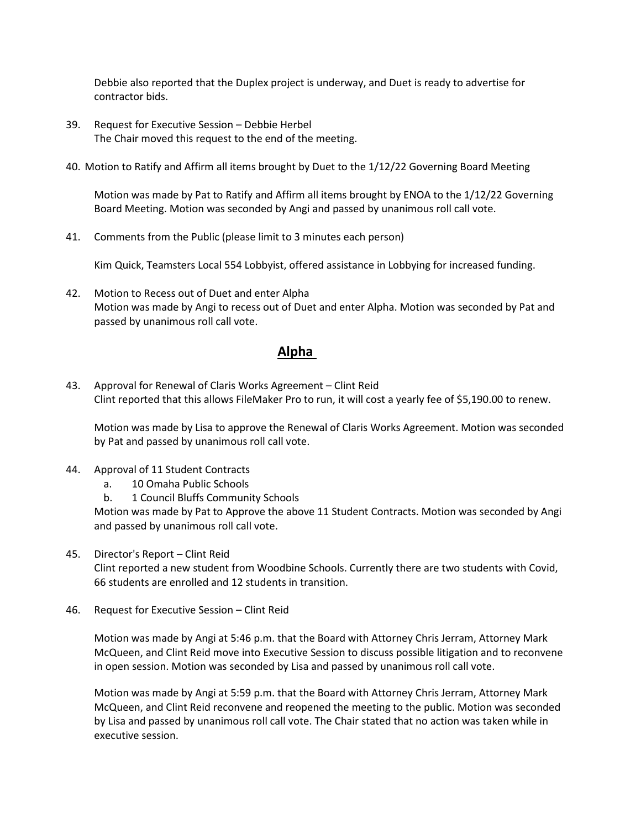Debbie also reported that the Duplex project is underway, and Duet is ready to advertise for contractor bids.

- 39. Request for Executive Session Debbie Herbel The Chair moved this request to the end of the meeting.
- 40. Motion to Ratify and Affirm all items brought by Duet to the 1/12/22 Governing Board Meeting

Motion was made by Pat to Ratify and Affirm all items brought by ENOA to the 1/12/22 Governing Board Meeting. Motion was seconded by Angi and passed by unanimous roll call vote.

41. Comments from the Public (please limit to 3 minutes each person)

Kim Quick, Teamsters Local 554 Lobbyist, offered assistance in Lobbying for increased funding.

42. Motion to Recess out of Duet and enter Alpha Motion was made by Angi to recess out of Duet and enter Alpha. Motion was seconded by Pat and passed by unanimous roll call vote.

#### **Alpha**

43. Approval for Renewal of Claris Works Agreement – Clint Reid Clint reported that this allows FileMaker Pro to run, it will cost a yearly fee of \$5,190.00 to renew.

Motion was made by Lisa to approve the Renewal of Claris Works Agreement. Motion was seconded by Pat and passed by unanimous roll call vote.

- 44. Approval of 11 Student Contracts
	- a. 10 Omaha Public Schools
	- b. 1 Council Bluffs Community Schools

Motion was made by Pat to Approve the above 11 Student Contracts. Motion was seconded by Angi and passed by unanimous roll call vote.

45. Director's Report – Clint Reid

Clint reported a new student from Woodbine Schools. Currently there are two students with Covid, 66 students are enrolled and 12 students in transition.

46. Request for Executive Session – Clint Reid

Motion was made by Angi at 5:46 p.m. that the Board with Attorney Chris Jerram, Attorney Mark McQueen, and Clint Reid move into Executive Session to discuss possible litigation and to reconvene in open session. Motion was seconded by Lisa and passed by unanimous roll call vote.

Motion was made by Angi at 5:59 p.m. that the Board with Attorney Chris Jerram, Attorney Mark McQueen, and Clint Reid reconvene and reopened the meeting to the public. Motion was seconded by Lisa and passed by unanimous roll call vote. The Chair stated that no action was taken while in executive session.